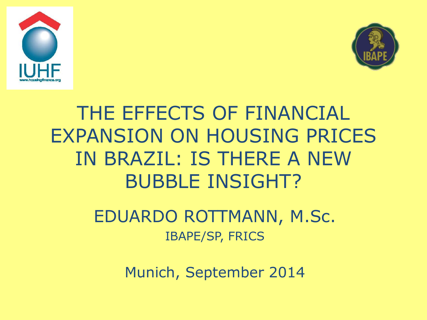



## THE EFFECTS OF FINANCIAL EXPANSION ON HOUSING PRICES IN BRAZIL: IS THERE A NEW BUBBLE INSIGHT?

#### EDUARDO ROTTMANN, M.Sc. IBAPE/SP, FRICS

Munich, September 2014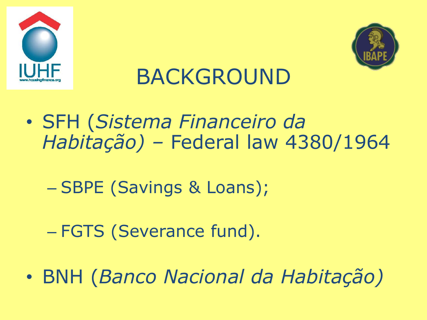



# BACKGROUND

- SFH (*Sistema Financeiro da Habitação) –* Federal law 4380/1964
	- SBPE (Savings & Loans);
	- FGTS (Severance fund).
- BNH (*Banco Nacional da Habitação)*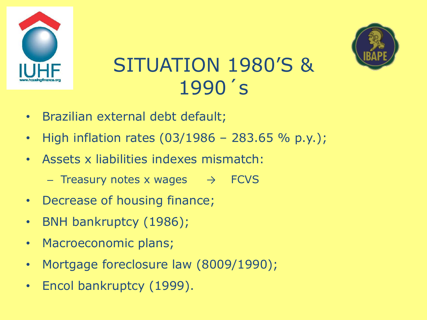



#### SITUATION 1980'S & 1990´ s

- Brazilian external debt default;
- High inflation rates  $(03/1986 283.65 % p.y.);$
- Assets x liabilities indexes mismatch:
	- Treasury notes x wages  $\rightarrow$  FCVS
- Decrease of housing finance;
- BNH bankruptcy (1986);
- Macroeconomic plans;
- Mortgage foreclosure law (8009/1990);
- Encol bankruptcy (1999).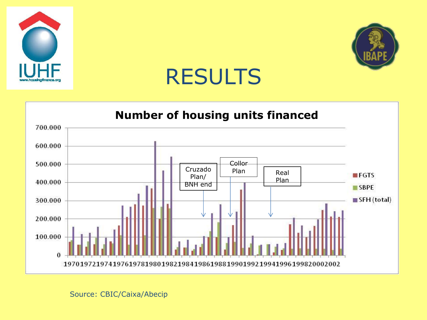



## RESULTS



Source: CBIC/Caixa/Abecip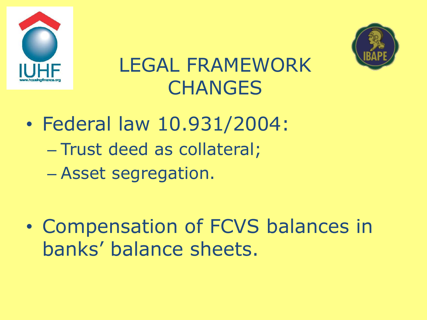



### LEGAL FRAMEWORK **CHANGES**

- Federal law 10.931/2004: – Trust deed as collateral; – Asset segregation.
- Compensation of FCVS balances in banks' balance sheets.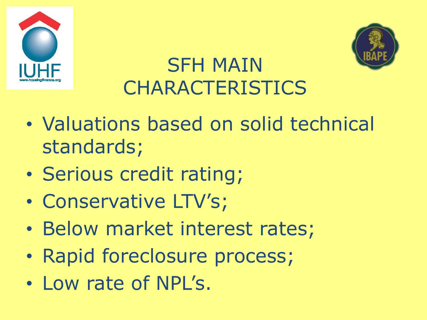



## SFH MAIN **CHARACTERISTICS**

- Valuations based on solid technical standards;
- Serious credit rating;
- Conservative LTV's;
- Below market interest rates;
- Rapid foreclosure process;
- Low rate of NPL's.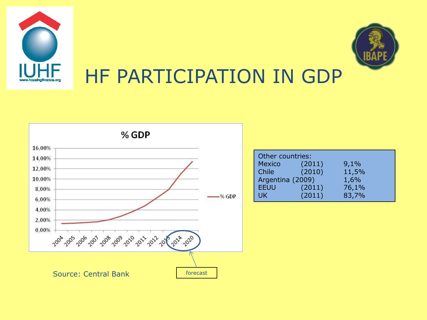



#### HF PARTICIPATION IN GDP



| Other countries: |        |       |  |
|------------------|--------|-------|--|
| Mexico           | (2011) | 9,1%  |  |
| Chile            | (2010) | 11,5% |  |
| Argentina (2009) |        | 1,6%  |  |
| <b>EEUU</b>      | (2011) | 76,1% |  |
| <b>AJK</b>       | (2011) | 83,7% |  |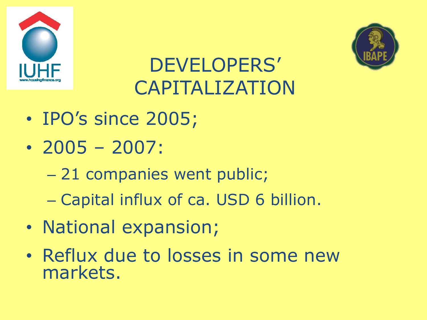



## DEVELOPERS' CAPITALIZATION

- IPO's since 2005;
- 2005 2007:
	- 21 companies went public;
	- Capital influx of ca. USD 6 billion.
- National expansion;
- Reflux due to losses in some new markets.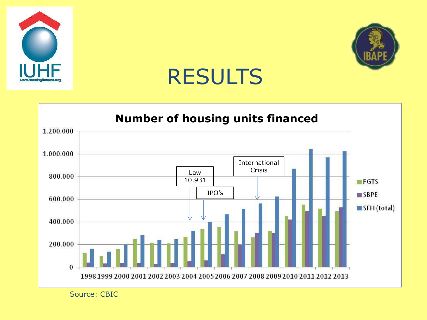

![](_page_8_Picture_1.jpeg)

#### RESULTS

![](_page_8_Figure_3.jpeg)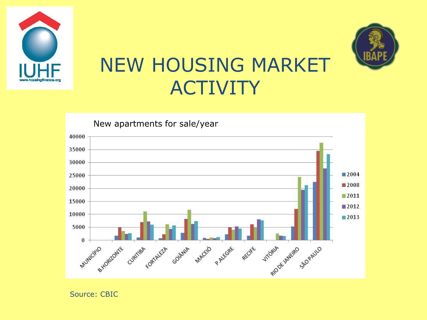![](_page_9_Picture_0.jpeg)

![](_page_9_Picture_1.jpeg)

#### NEW HOUSING MARKET ACTIVITY

![](_page_9_Figure_3.jpeg)

Source: CBIC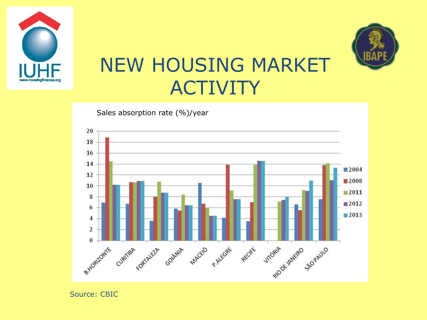![](_page_10_Picture_0.jpeg)

![](_page_10_Picture_1.jpeg)

#### NEW HOUSING MARKET ACTIVITY

![](_page_10_Figure_3.jpeg)

Sales absorption rate (%)/year

Source: CBIC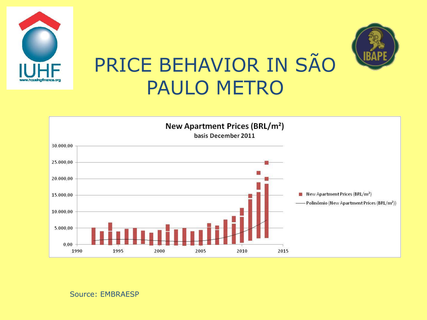![](_page_11_Picture_0.jpeg)

![](_page_11_Figure_1.jpeg)

Source: EMBRAESP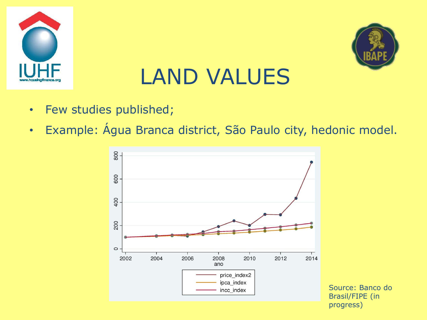![](_page_12_Picture_0.jpeg)

![](_page_12_Picture_1.jpeg)

## LAND VALUES

- Few studies published;
- Example: Água Branca district, São Paulo city, hedonic model.

![](_page_12_Figure_5.jpeg)

Source: Banco do Brasil/FIPE (in progress)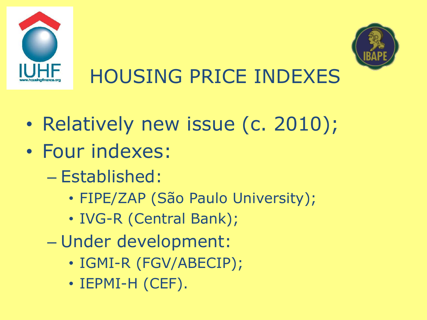![](_page_13_Picture_0.jpeg)

![](_page_13_Picture_1.jpeg)

# HOUSING PRICE INDEXES

- Relatively new issue (c. 2010);
- Four indexes:
	- Established:
		- FIPE/ZAP (São Paulo University);
		- IVG-R (Central Bank);
	- Under development:
		- IGMI-R (FGV/ABECIP);
		- IEPMI-H (CEF).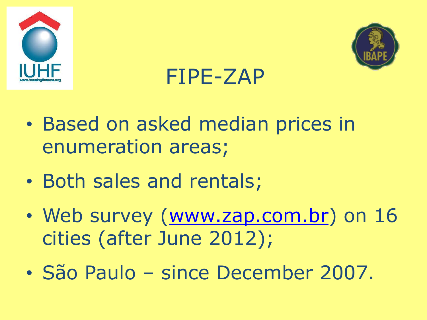![](_page_14_Picture_0.jpeg)

![](_page_14_Picture_1.jpeg)

## FIPE-ZAP

- Based on asked median prices in enumeration areas;
- Both sales and rentals;
- Web survey ([www.zap.com.br\)](http://www.zap.com.br/) on 16 cities (after June 2012);
- São Paulo since December 2007.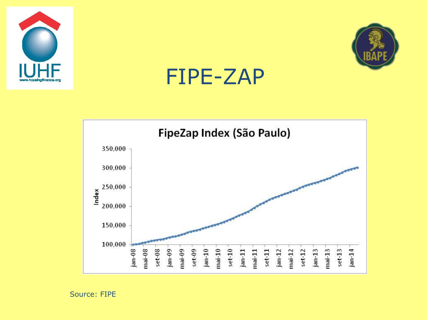![](_page_15_Picture_0.jpeg)

![](_page_15_Picture_1.jpeg)

### FIPE-ZAP

![](_page_15_Figure_3.jpeg)

Source: FIPE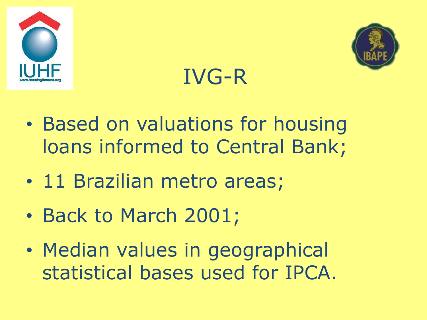![](_page_16_Picture_0.jpeg)

![](_page_16_Picture_1.jpeg)

# IVG-R

- Based on valuations for housing loans informed to Central Bank;
- 11 Brazilian metro areas;
- Back to March 2001;
- Median values in geographical statistical bases used for IPCA.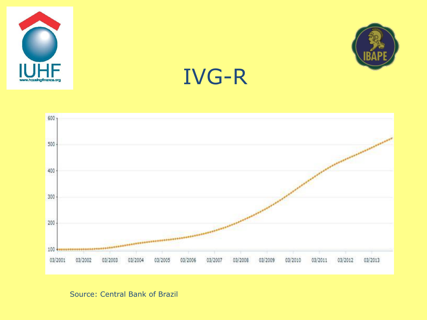![](_page_17_Picture_0.jpeg)

![](_page_17_Picture_1.jpeg)

## IVG-R

![](_page_17_Figure_3.jpeg)

Source: Central Bank of Brazil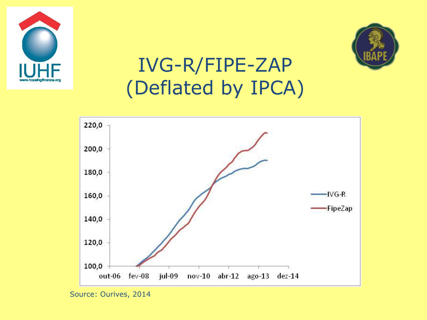![](_page_18_Picture_0.jpeg)

![](_page_18_Picture_1.jpeg)

## IVG-R/FIPE-ZAP (Deflated by IPCA)

![](_page_18_Figure_3.jpeg)

Source: Ourives, 2014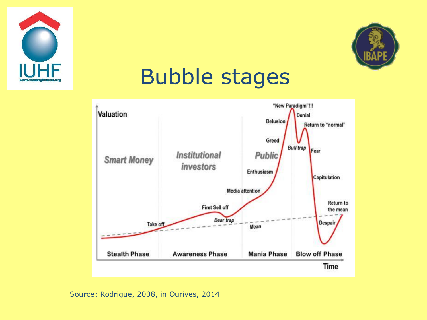![](_page_19_Picture_0.jpeg)

![](_page_19_Picture_1.jpeg)

## Bubble stages

![](_page_19_Figure_3.jpeg)

Source: Rodrigue, 2008, in Ourives, 2014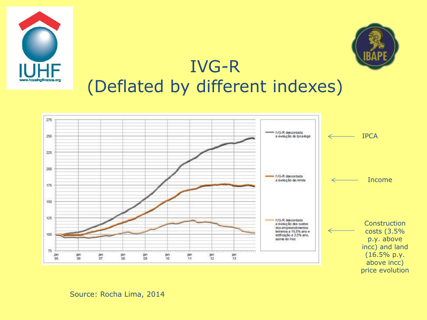![](_page_20_Picture_0.jpeg)

![](_page_20_Picture_1.jpeg)

#### IVG-R (Deflated by different indexes)

![](_page_20_Figure_3.jpeg)

#### Source: Rocha Lima, 2014